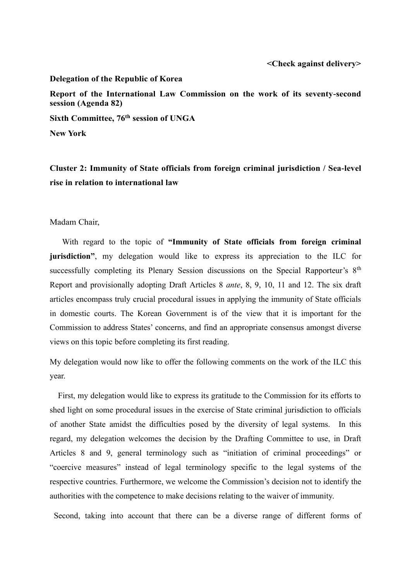## **Delegation of the Republic of Korea**

**Report of the International Law Commission on the work of its seventy-second session (Agenda 82)**

**Sixth Committee, 76th session of UNGA**

**New York**

**Cluster 2: Immunity of State officials from foreign criminal jurisdiction / Sea-level rise in relation to international law**

Madam Chair,

With regard to the topic of **"Immunity of State officials from foreign criminal jurisdiction"**, my delegation would like to express its appreciation to the ILC for successfully completing its Plenary Session discussions on the Special Rapporteur's 8<sup>th</sup> Report and provisionally adopting Draft Articles 8 *ante*, 8, 9, 10, 11 and 12. The six draft articles encompass truly crucial procedural issues in applying the immunity of State officials in domestic courts. The Korean Government is of the view that it is important for the Commission to address States' concerns, and find an appropriate consensus amongst diverse views on this topic before completing its first reading.

My delegation would now like to offer the following comments on the work of the ILC this year.

First, my delegation would like to express its gratitude to the Commission for its efforts to shed light on some procedural issues in the exercise of State criminal jurisdiction to officials of another State amidst the difficulties posed by the diversity of legal systems. In this regard, my delegation welcomes the decision by the Drafting Committee to use, in Draft Articles 8 and 9, general terminology such as "initiation of criminal proceedings" or "coercive measures" instead of legal terminology specific to the legal systems of the respective countries. Furthermore, we welcome the Commission's decision not to identify the authorities with the competence to make decisions relating to the waiver of immunity.

Second, taking into account that there can be a diverse range of different forms of